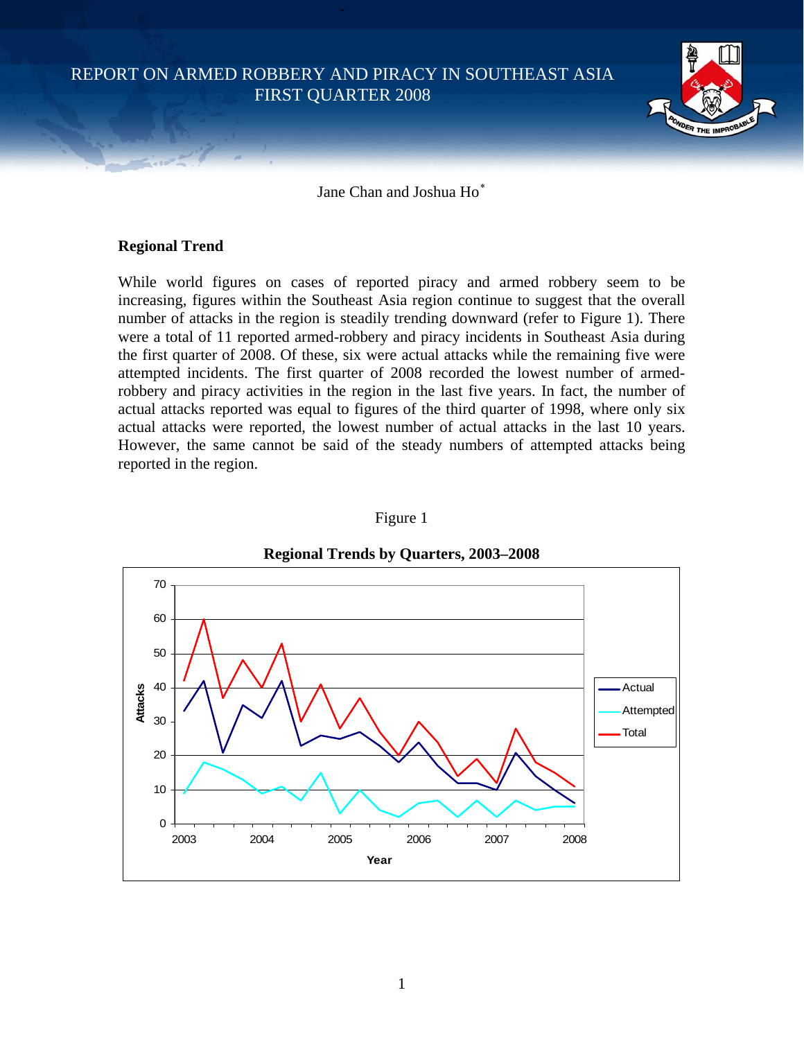REPORT ON ARMED ROBBERY AND PIRACY IN SOUTHEAST ASIA FIRST QUARTER 2008



Jane Chan and Joshua Ho[∗](#page-10-0)

## **Regional Trend**

While world figures on cases of reported piracy and armed robbery seem to be increasing, figures within the Southeast Asia region continue to suggest that the overall number of attacks in the region is steadily trending downward (refer to Figure 1). There were a total of 11 reported armed-robbery and piracy incidents in Southeast Asia during the first quarter of 2008. Of these, six were actual attacks while the remaining five were attempted incidents. The first quarter of 2008 recorded the lowest number of armedrobbery and piracy activities in the region in the last five years. In fact, the number of actual attacks reported was equal to figures of the third quarter of 1998, where only six actual attacks were reported, the lowest number of actual attacks in the last 10 years. However, the same cannot be said of the steady numbers of attempted attacks being reported in the region.



#### Figure 1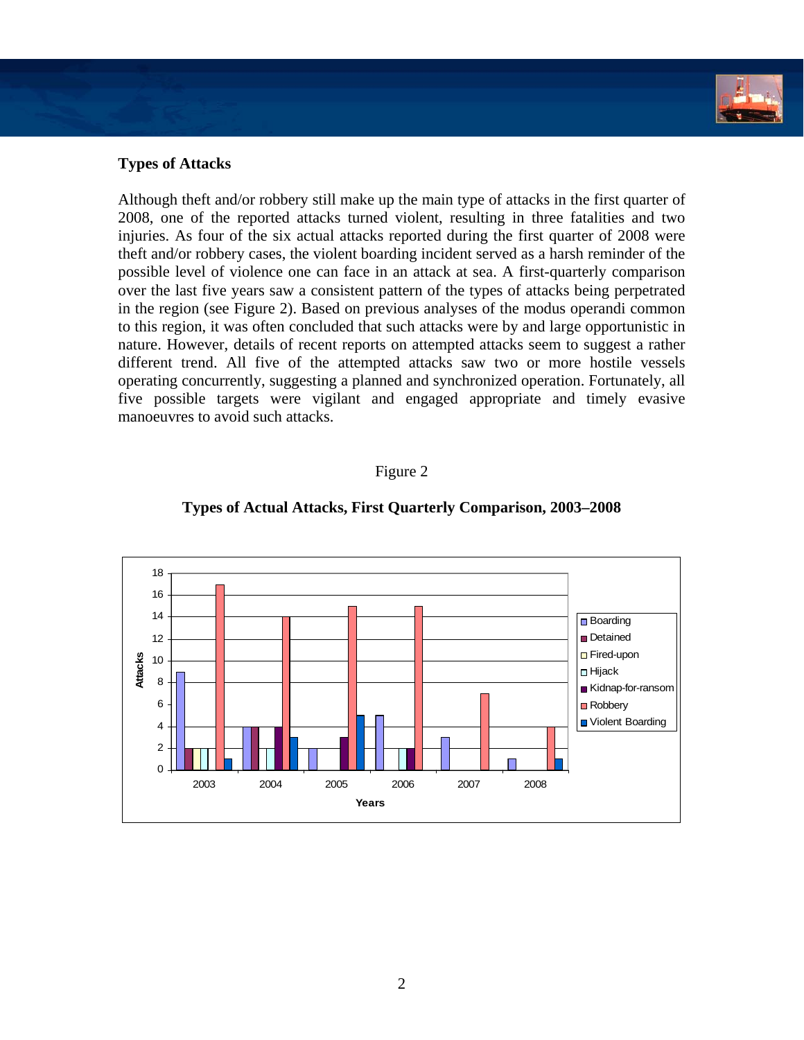

# **Types of Attacks**

Although theft and/or robbery still make up the main type of attacks in the first quarter of 2008, one of the reported attacks turned violent, resulting in three fatalities and two injuries. As four of the six actual attacks reported during the first quarter of 2008 were theft and/or robbery cases, the violent boarding incident served as a harsh reminder of the possible level of violence one can face in an attack at sea. A first-quarterly comparison over the last five years saw a consistent pattern of the types of attacks being perpetrated in the region (see Figure 2). Based on previous analyses of the modus operandi common to this region, it was often concluded that such attacks were by and large opportunistic in nature. However, details of recent reports on attempted attacks seem to suggest a rather different trend. All five of the attempted attacks saw two or more hostile vessels operating concurrently, suggesting a planned and synchronized operation. Fortunately, all five possible targets were vigilant and engaged appropriate and timely evasive manoeuvres to avoid such attacks.

### Figure 2



### **Types of Actual Attacks, First Quarterly Comparison, 2003–2008**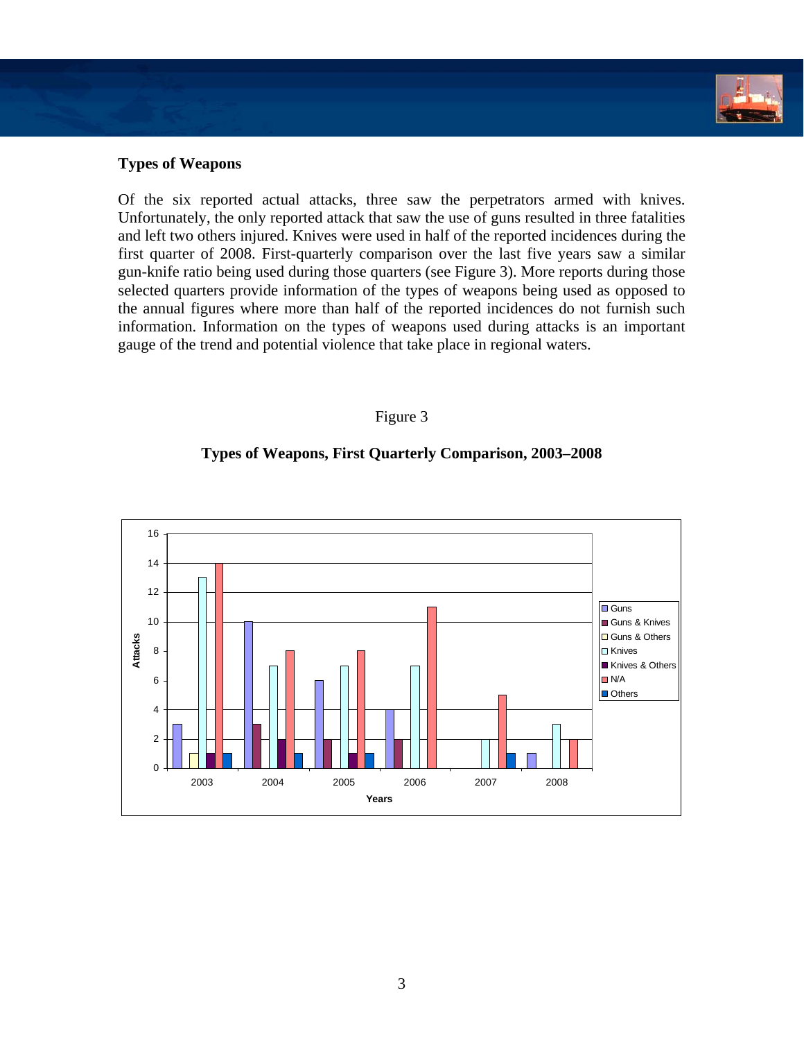

## **Types of Weapons**

Of the six reported actual attacks, three saw the perpetrators armed with knives. Unfortunately, the only reported attack that saw the use of guns resulted in three fatalities and left two others injured. Knives were used in half of the reported incidences during the first quarter of 2008. First-quarterly comparison over the last five years saw a similar gun-knife ratio being used during those quarters (see Figure 3). More reports during those selected quarters provide information of the types of weapons being used as opposed to the annual figures where more than half of the reported incidences do not furnish such information. Information on the types of weapons used during attacks is an important gauge of the trend and potential violence that take place in regional waters.

### Figure 3

## **Types of Weapons, First Quarterly Comparison, 2003–2008**

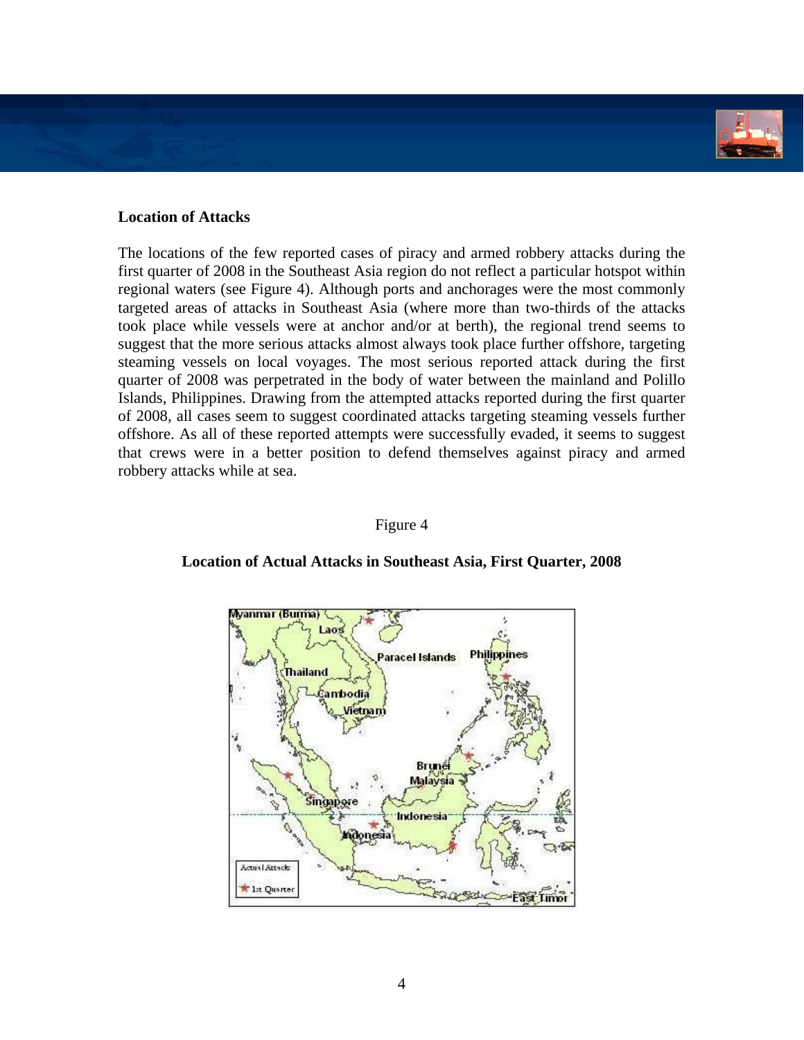

## Location of Attacks

The locations of the few reported cases of piracy and armed robbery attacks during the first quarter of 2008 in the Southeast Asia region do not reflect a particular hotspot within regional waters (see Figure 4). Although ports and anchorages were the most commonly targeted areas of attacks in Southeast Asia (where more than two-thirds of the attacks took place while vessels were at anchor and/or at berth), the regional trend seems to suggest that the more serious attacks almost always took place further offshore, targeting steaming vessels on local voyages. The most serious reported attack during the first quarter of 2008 was perpetrated in the body of water between the mainland and Polillo Islands, Philippines. Drawing from the attempted attacks reported during the first quarter of 2008, all cases seem to suggest coordinated attacks targeting steaming vessels further offshore. As all of these reported attempts were successfully evaded, it seems to suggest that crews were in a better position to defend themselves against piracy and armed robbery attacks while at sea.

### Figure 4



### **Location of Actual Attacks in Southeast Asia, First Quarter, 2008**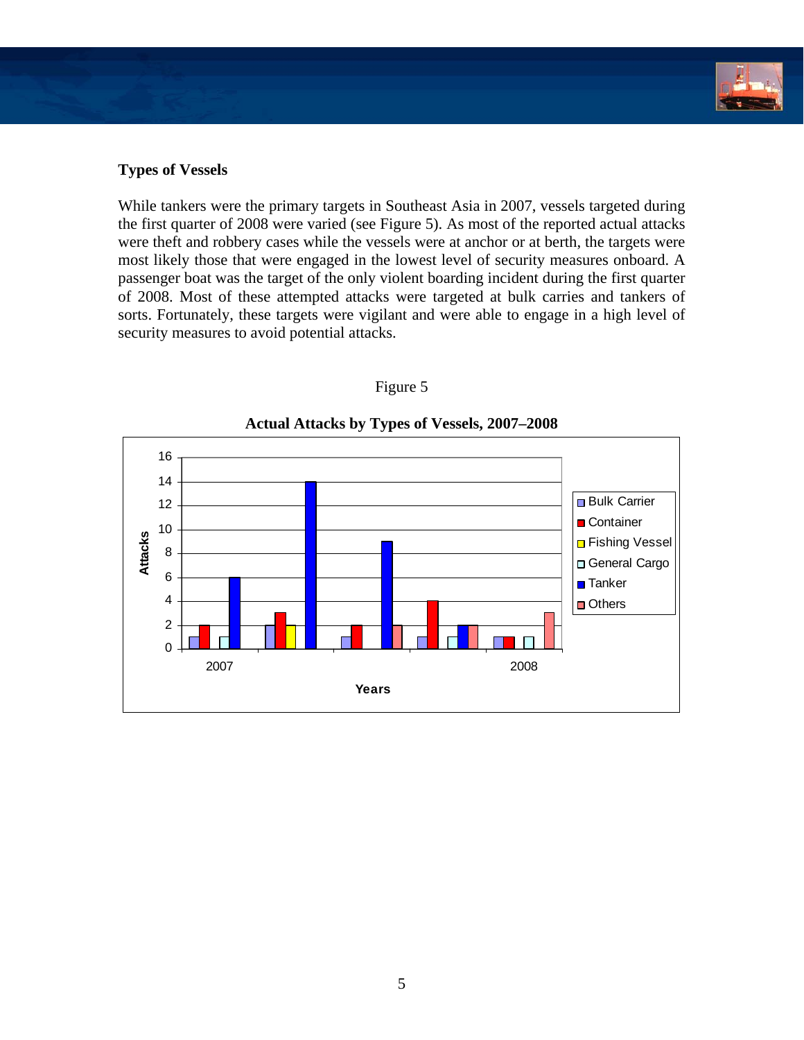

## **Types of Vessels**

While tankers were the primary targets in Southeast Asia in 2007, vessels targeted during the first quarter of 2008 were varied (see Figure 5). As most of the reported actual attacks were theft and robbery cases while the vessels were at anchor or at berth, the targets were most likely those that were engaged in the lowest level of security measures onboard. A passenger boat was the target of the only violent boarding incident during the first quarter of 2008. Most of these attempted attacks were targeted at bulk carries and tankers of sorts. Fortunately, these targets were vigilant and were able to engage in a high level of security measures to avoid potential attacks.

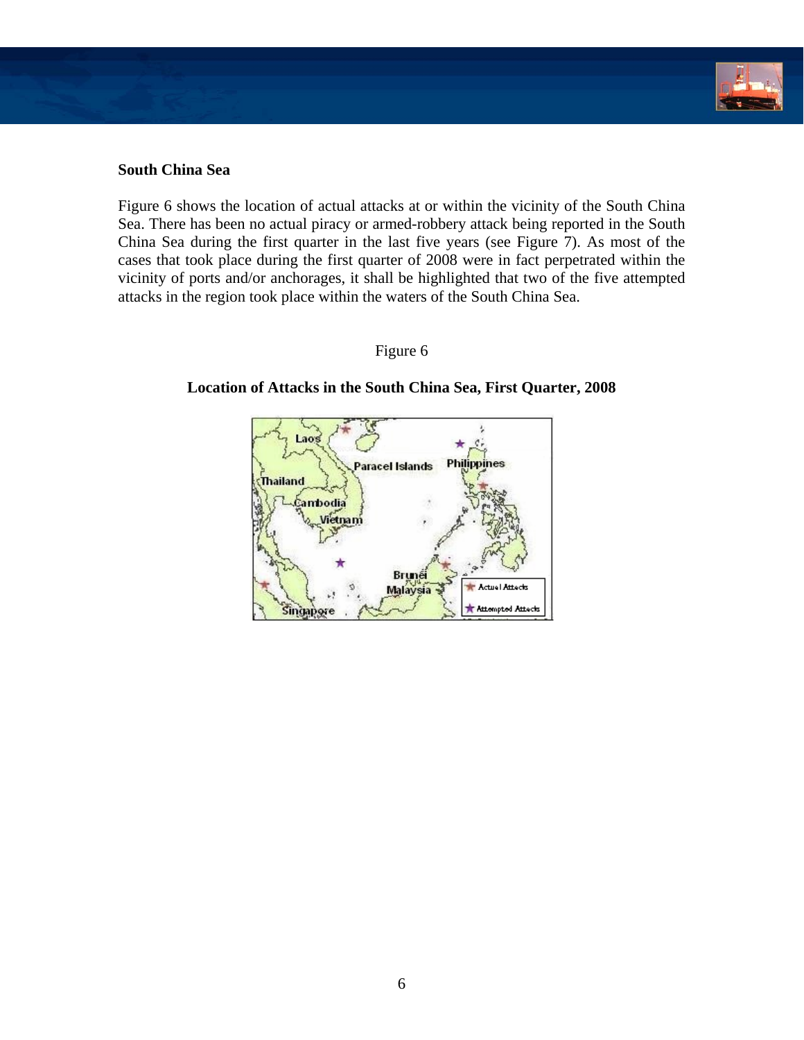

## **South China Sea**

Figure 6 shows the location of actual attacks at or within the vicinity of the South China Sea. There has been no actual piracy or armed-robbery attack being reported in the South China Sea during the first quarter in the last five years (see Figure 7). As most of the cases that took place during the first quarter of 2008 were in fact perpetrated within the vicinity of ports and/or anchorages, it shall be highlighted that two of the five attempted attacks in the region took place within the waters of the South China Sea.

## Figure 6



## **Location of Attacks in the South China Sea, First Quarter, 2008**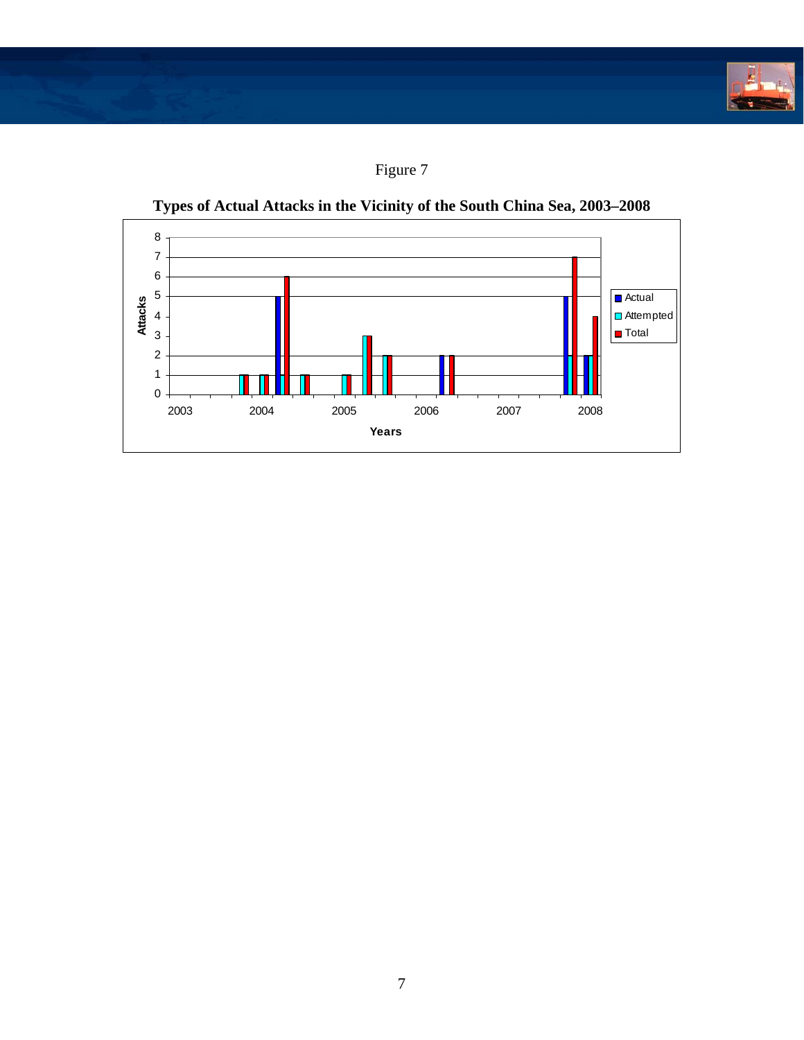**CONTRACTOR** 





**Types of Actual Attacks in the Vicinity of the South China Sea, 2003–2008**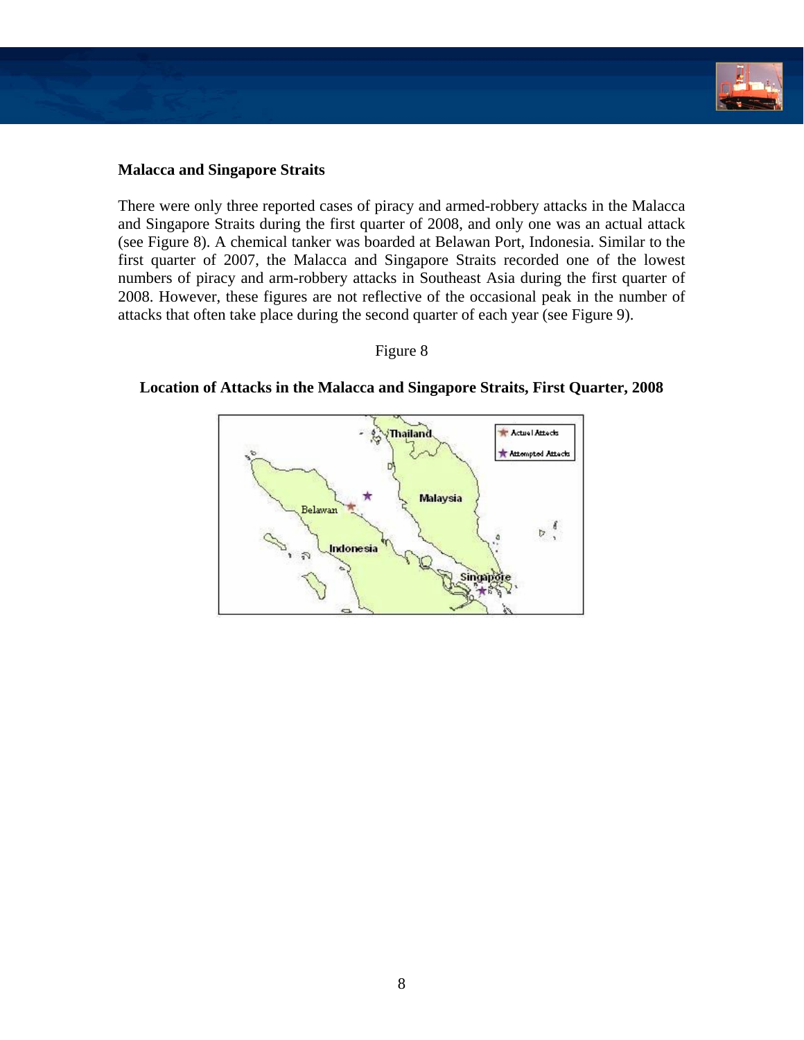

### **Malacca and Singapore Straits**

There were only three reported cases of piracy and armed-robbery attacks in the Malacca and Singapore Straits during the first quarter of 2008, and only one was an actual attack (see Figure 8). A chemical tanker was boarded at Belawan Port, Indonesia. Similar to the first quarter of 2007, the Malacca and Singapore Straits recorded one of the lowest numbers of piracy and arm-robbery attacks in Southeast Asia during the first quarter of 2008. However, these figures are not reflective of the occasional peak in the number of attacks that often take place during the second quarter of each year (see Figure 9).

### Figure 8



**Location of Attacks in the Malacca and Singapore Straits, First Quarter, 2008**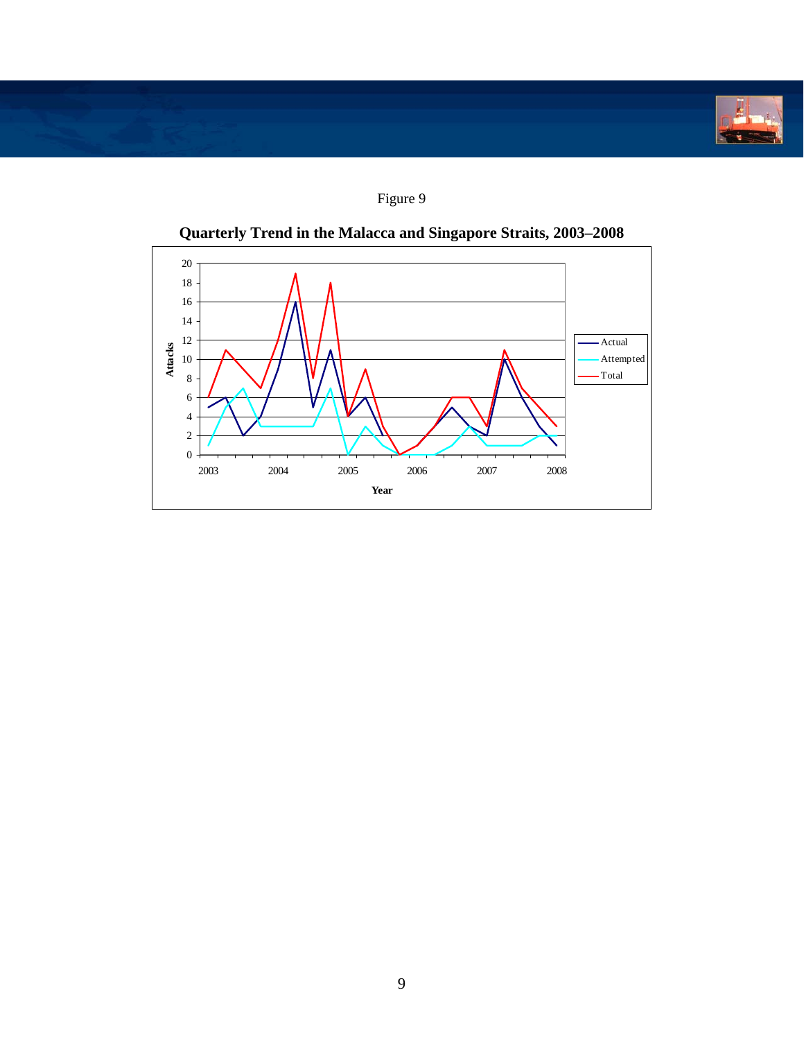

Figure 9



**Quarterly Trend in the Malacca and Singapore Straits, 2003–2008**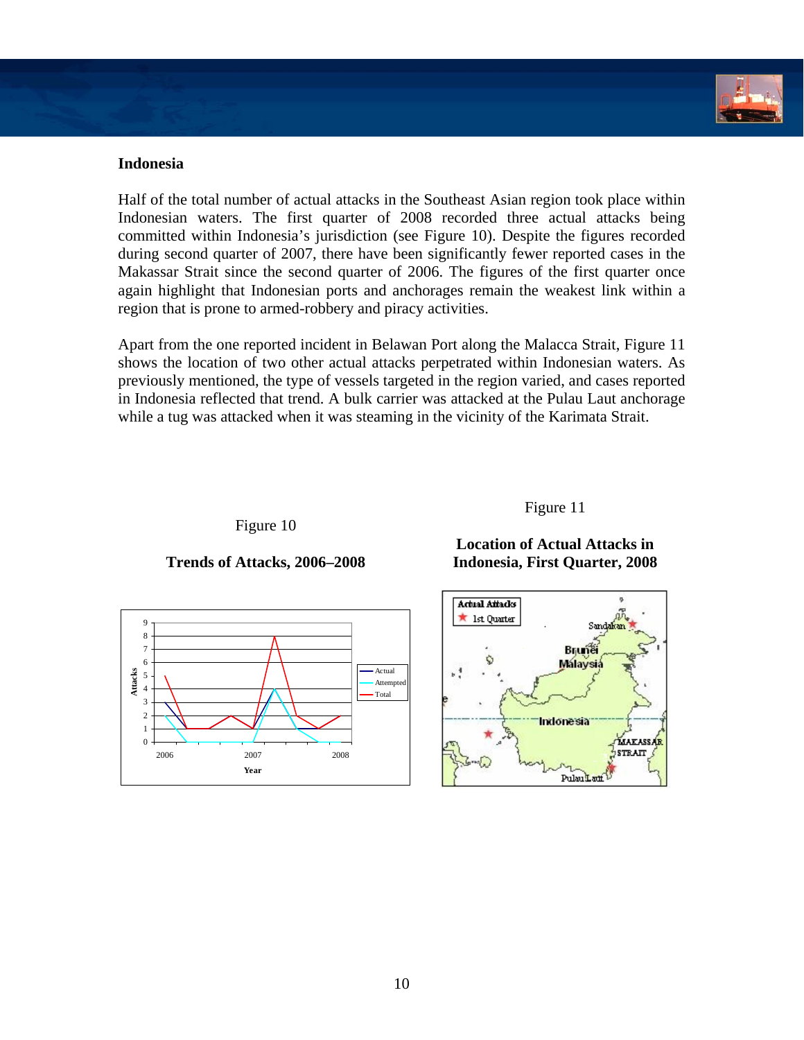

## **Indonesia**

**Attacks**

Half of the total number of actual attacks in the Southeast Asian region took place within Indonesian waters. The first quarter of 2008 recorded three actual attacks being committed within Indonesia's jurisdiction (see Figure 10). Despite the figures recorded during second quarter of 2007, there have been significantly fewer reported cases in the Makassar Strait since the second quarter of 2006. The figures of the first quarter once again highlight that Indonesian ports and anchorages remain the weakest link within a region that is prone to armed-robbery and piracy activities.

Apart from the one reported incident in Belawan Port along the Malacca Strait, Figure 11 shows the location of two other actual attacks perpetrated within Indonesian waters. As previously mentioned, the type of vessels targeted in the region varied, and cases reported in Indonesia reflected that trend. A bulk carrier was attacked at the Pulau Laut anchorage while a tug was attacked when it was steaming in the vicinity of the Karimata Strait.

Figure 10

## **Trends of Attacks, 2006–2008**

**Year**



Figure 11

### **Location of Actual Attacks in Indonesia, First Quarter, 2008**